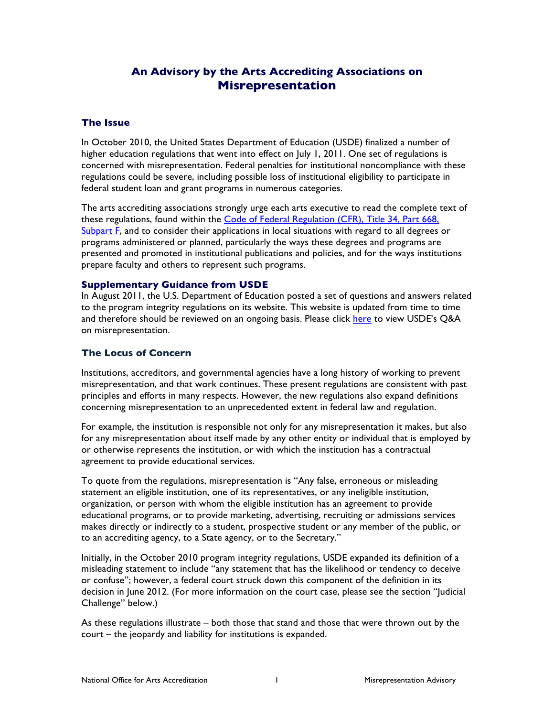# **An Advisory by the Arts Accrediting Associations on Misrepresentation**

# **The Issue**

In October 2010, the United States Department of Education (USDE) finalized a number of higher education regulations that went into effect on July 1, 2011. One set of regulations is concerned with misrepresentation. Federal penalties for institutional noncompliance with these regulations could be severe, including possible loss of institutional eligibility to participate in federal student loan and grant programs in numerous categories.

The arts accrediting associations strongly urge each arts executive to read the complete text of these regulations, found within the [Code of Federal Regulation \(CFR\), Title 34, Part 668,](http://www.ecfr.gov/cgi-bin/text-idx?SID=efebf986574e3157ec5e1ecf9217cdb3&mc=true&node=pt34.3.668&rgn=div5#sp34.3.668.f)  [Subpart F,](http://www.ecfr.gov/cgi-bin/text-idx?SID=efebf986574e3157ec5e1ecf9217cdb3&mc=true&node=pt34.3.668&rgn=div5#sp34.3.668.f) and to consider their applications in local situations with regard to all degrees or programs administered or planned, particularly the ways these degrees and programs are presented and promoted in institutional publications and policies, and for the ways institutions prepare faculty and others to represent such programs.

### **Supplementary Guidance from USDE**

In August 2011, the U.S. Department of Education posted a set of questions and answers related to the program integrity regulations on its website. This website is updated from time to time and therefore should be reviewed on an ongoing basis. Please click [here](http://www2.ed.gov/policy/highered/reg/hearulemaking/2009/misrep.html) to view USDE's Q&A on misrepresentation.

### **The Locus of Concern**

Institutions, accreditors, and governmental agencies have a long history of working to prevent misrepresentation, and that work continues. These present regulations are consistent with past principles and efforts in many respects. However, the new regulations also expand definitions concerning misrepresentation to an unprecedented extent in federal law and regulation.

For example, the institution is responsible not only for any misrepresentation it makes, but also for any misrepresentation about itself made by any other entity or individual that is employed by or otherwise represents the institution, or with which the institution has a contractual agreement to provide educational services.

To quote from the regulations, misrepresentation is "Any false, erroneous or misleading statement an eligible institution, one of its representatives, or any ineligible institution, organization, or person with whom the eligible institution has an agreement to provide educational programs, or to provide marketing, advertising, recruiting or admissions services makes directly or indirectly to a student, prospective student or any member of the public, or to an accrediting agency, to a State agency, or to the Secretary."

Initially, in the October 2010 program integrity regulations, USDE expanded its definition of a misleading statement to include "any statement that has the likelihood or tendency to deceive or confuse"; however, a federal court struck down this component of the definition in its decision in June 2012. (For more information on the court case, please see the section "Judicial Challenge" below.)

As these regulations illustrate – both those that stand and those that were thrown out by the court – the jeopardy and liability for institutions is expanded.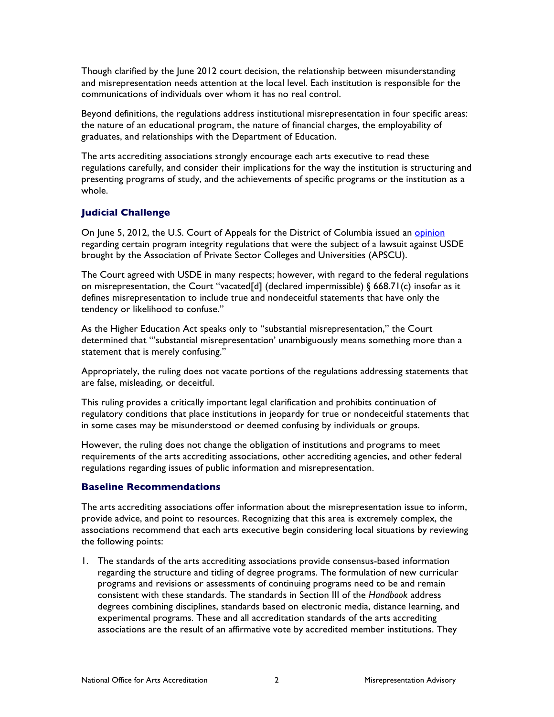Though clarified by the June 2012 court decision, the relationship between misunderstanding and misrepresentation needs attention at the local level. Each institution is responsible for the communications of individuals over whom it has no real control.

Beyond definitions, the regulations address institutional misrepresentation in four specific areas: the nature of an educational program, the nature of financial charges, the employability of graduates, and relationships with the Department of Education.

The arts accrediting associations strongly encourage each arts executive to read these regulations carefully, and consider their implications for the way the institution is structuring and presenting programs of study, and the achievements of specific programs or the institution as a whole.

# **Judicial Challenge**

On June 5, 2012, the U.S. Court of Appeals for the District of Columbia issued an *[opinion](http://www.cadc.uscourts.gov/internet/opinions.nsf/969CEC5FCB92F81685257A14004F3131/$file/11-5174-1377087.pdf)* regarding certain program integrity regulations that were the subject of a lawsuit against USDE brought by the Association of Private Sector Colleges and Universities (APSCU).

The Court agreed with USDE in many respects; however, with regard to the federal regulations on misrepresentation, the Court "vacated[d] (declared impermissible) § 668.71(c) insofar as it defines misrepresentation to include true and nondeceitful statements that have only the tendency or likelihood to confuse."

As the Higher Education Act speaks only to "substantial misrepresentation," the Court determined that "'substantial misrepresentation' unambiguously means something more than a statement that is merely confusing."

Appropriately, the ruling does not vacate portions of the regulations addressing statements that are false, misleading, or deceitful.

This ruling provides a critically important legal clarification and prohibits continuation of regulatory conditions that place institutions in jeopardy for true or nondeceitful statements that in some cases may be misunderstood or deemed confusing by individuals or groups.

However, the ruling does not change the obligation of institutions and programs to meet requirements of the arts accrediting associations, other accrediting agencies, and other federal regulations regarding issues of public information and misrepresentation.

### **Baseline Recommendations**

The arts accrediting associations offer information about the misrepresentation issue to inform, provide advice, and point to resources. Recognizing that this area is extremely complex, the associations recommend that each arts executive begin considering local situations by reviewing the following points:

1. The standards of the arts accrediting associations provide consensus-based information regarding the structure and titling of degree programs. The formulation of new curricular programs and revisions or assessments of continuing programs need to be and remain consistent with these standards. The standards in Section III of the *Handbook* address degrees combining disciplines, standards based on electronic media, distance learning, and experimental programs. These and all accreditation standards of the arts accrediting associations are the result of an affirmative vote by accredited member institutions. They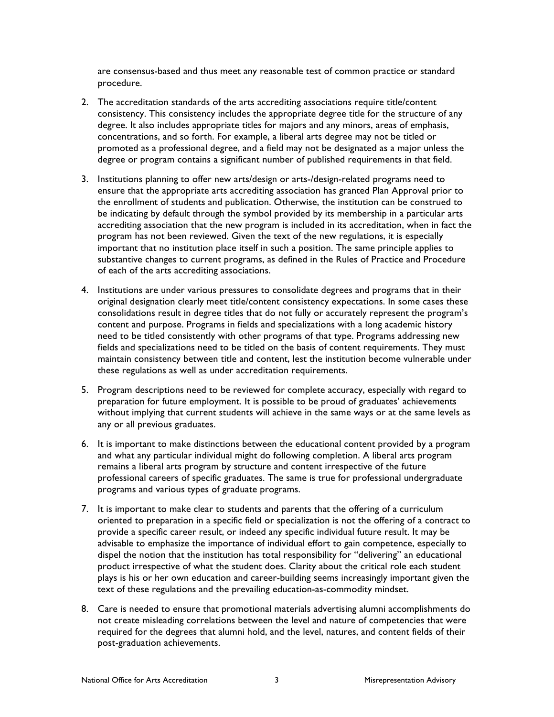are consensus-based and thus meet any reasonable test of common practice or standard procedure.

- 2. The accreditation standards of the arts accrediting associations require title/content consistency. This consistency includes the appropriate degree title for the structure of any degree. It also includes appropriate titles for majors and any minors, areas of emphasis, concentrations, and so forth. For example, a liberal arts degree may not be titled or promoted as a professional degree, and a field may not be designated as a major unless the degree or program contains a significant number of published requirements in that field.
- 3. Institutions planning to offer new arts/design or arts-/design-related programs need to ensure that the appropriate arts accrediting association has granted Plan Approval prior to the enrollment of students and publication. Otherwise, the institution can be construed to be indicating by default through the symbol provided by its membership in a particular arts accrediting association that the new program is included in its accreditation, when in fact the program has not been reviewed. Given the text of the new regulations, it is especially important that no institution place itself in such a position. The same principle applies to substantive changes to current programs, as defined in the Rules of Practice and Procedure of each of the arts accrediting associations.
- 4. Institutions are under various pressures to consolidate degrees and programs that in their original designation clearly meet title/content consistency expectations. In some cases these consolidations result in degree titles that do not fully or accurately represent the program's content and purpose. Programs in fields and specializations with a long academic history need to be titled consistently with other programs of that type. Programs addressing new fields and specializations need to be titled on the basis of content requirements. They must maintain consistency between title and content, lest the institution become vulnerable under these regulations as well as under accreditation requirements.
- 5. Program descriptions need to be reviewed for complete accuracy, especially with regard to preparation for future employment. It is possible to be proud of graduates' achievements without implying that current students will achieve in the same ways or at the same levels as any or all previous graduates.
- 6. It is important to make distinctions between the educational content provided by a program and what any particular individual might do following completion. A liberal arts program remains a liberal arts program by structure and content irrespective of the future professional careers of specific graduates. The same is true for professional undergraduate programs and various types of graduate programs.
- 7. It is important to make clear to students and parents that the offering of a curriculum oriented to preparation in a specific field or specialization is not the offering of a contract to provide a specific career result, or indeed any specific individual future result. It may be advisable to emphasize the importance of individual effort to gain competence, especially to dispel the notion that the institution has total responsibility for "delivering" an educational product irrespective of what the student does. Clarity about the critical role each student plays is his or her own education and career-building seems increasingly important given the text of these regulations and the prevailing education-as-commodity mindset.
- 8. Care is needed to ensure that promotional materials advertising alumni accomplishments do not create misleading correlations between the level and nature of competencies that were required for the degrees that alumni hold, and the level, natures, and content fields of their post-graduation achievements.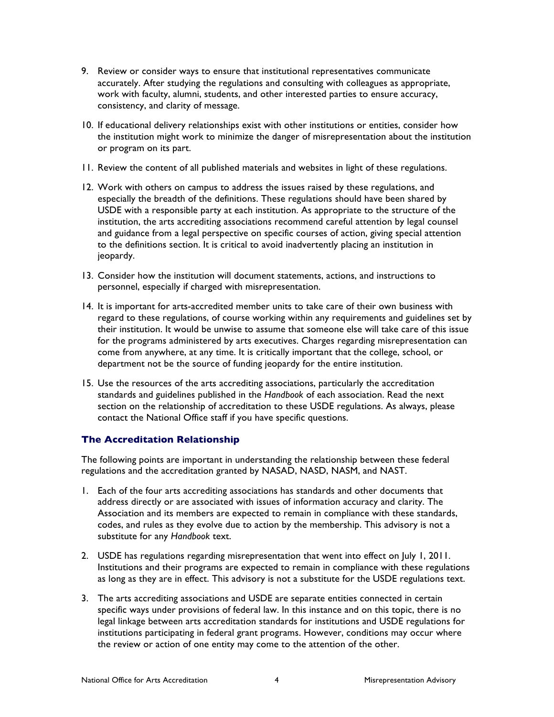- 9. Review or consider ways to ensure that institutional representatives communicate accurately. After studying the regulations and consulting with colleagues as appropriate, work with faculty, alumni, students, and other interested parties to ensure accuracy, consistency, and clarity of message.
- 10. If educational delivery relationships exist with other institutions or entities, consider how the institution might work to minimize the danger of misrepresentation about the institution or program on its part.
- 11. Review the content of all published materials and websites in light of these regulations.
- 12. Work with others on campus to address the issues raised by these regulations, and especially the breadth of the definitions. These regulations should have been shared by USDE with a responsible party at each institution. As appropriate to the structure of the institution, the arts accrediting associations recommend careful attention by legal counsel and guidance from a legal perspective on specific courses of action, giving special attention to the definitions section. It is critical to avoid inadvertently placing an institution in jeopardy.
- 13. Consider how the institution will document statements, actions, and instructions to personnel, especially if charged with misrepresentation.
- 14. It is important for arts-accredited member units to take care of their own business with regard to these regulations, of course working within any requirements and guidelines set by their institution. It would be unwise to assume that someone else will take care of this issue for the programs administered by arts executives. Charges regarding misrepresentation can come from anywhere, at any time. It is critically important that the college, school, or department not be the source of funding jeopardy for the entire institution.
- 15. Use the resources of the arts accrediting associations, particularly the accreditation standards and guidelines published in the *Handbook* of each association. Read the next section on the relationship of accreditation to these USDE regulations. As always, please contact the National Office staff if you have specific questions.

### **The Accreditation Relationship**

The following points are important in understanding the relationship between these federal regulations and the accreditation granted by NASAD, NASD, NASM, and NAST.

- 1. Each of the four arts accrediting associations has standards and other documents that address directly or are associated with issues of information accuracy and clarity. The Association and its members are expected to remain in compliance with these standards, codes, and rules as they evolve due to action by the membership. This advisory is not a substitute for any *Handbook* text.
- 2. USDE has regulations regarding misrepresentation that went into effect on July 1, 2011. Institutions and their programs are expected to remain in compliance with these regulations as long as they are in effect. This advisory is not a substitute for the USDE regulations text.
- 3. The arts accrediting associations and USDE are separate entities connected in certain specific ways under provisions of federal law. In this instance and on this topic, there is no legal linkage between arts accreditation standards for institutions and USDE regulations for institutions participating in federal grant programs. However, conditions may occur where the review or action of one entity may come to the attention of the other.